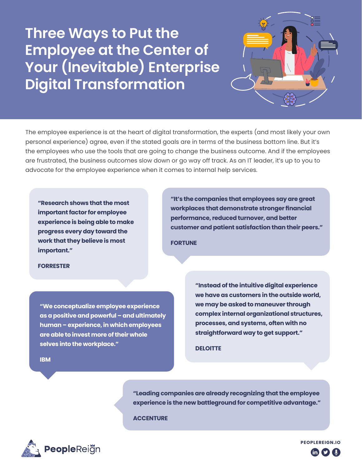## **Three Ways to Put the Employee at the Center of Your (Inevitable) Enterprise Digital Transformation**

The employee experience is at the heart of digital transformation, the experts (and most likely your own personal experience) agree, even if the stated goals are in terms of the business bottom line. But it's the employees who use the tools that are going to change the business outcome. And if the employees are frustrated, the business outcomes slow down or go way off track. As an IT leader, it's up to you to advocate for the employee experience when it comes to internal help services.

**"Research shows that the most important factor for employee experience is being able to make progress every day toward the work that they believe is most important."**

**"It's the companies that employees say are great workplaces that demonstrate stronger financial performance, reduced turnover, and better customer and patient satisfaction than their peers."**

**[FORTUNE](https://fortune.com/2018/02/27/the-best-companies-to-work-for-are-beating-the-market/)**

## **[FORRESTER](https://www.forrester.com/blogs/the-employee-experience-index/)**

**[IBM](https://www.ibm.com/downloads/cas/JDMXPMBM)**

**"We conceptualize employee experience as a positive and powerful – and ultimately human – experience, in which employees are able to invest more of their whole selves into the workplace."**

**"Instead of the intuitive digital experience we have as customers in the outside world, we may be asked to maneuver through complex internal organizational structures, processes, and systems, often with no straightforward way to get support."**

**[DELOITTE](https://www2.deloitte.com/us/en/insights/topics/digital-transformation/improving-digital-employee-experience.html)**

**"Leading companies are already recognizing that the employee experience is the new battleground for competitive advantage."**

**[ACCENTURE](https://www.accenture.com/_acnmedia/PDF-64/Accenture_Strategy_Employee_Experience_Reimagined_POV.pdf)**



**[PEOPLEREIGN.IO](https://peoplereign.io)**  $\mathbf m$   $\mathbf y$